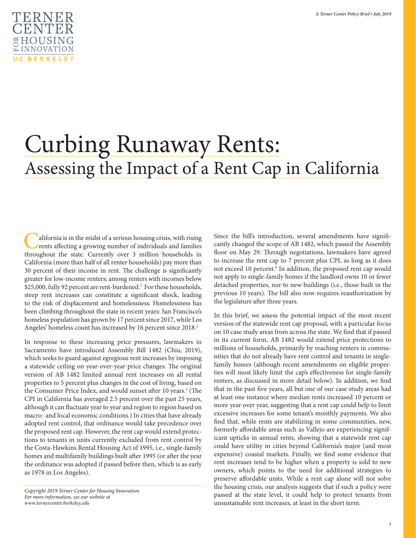

# Curbing Runaway Rents: Assessing the Impact of a Rent Cap in California

California is in the midst of a serious housing crisis, with rising<br>rents affecting a growing number of individuals and families<br>throughout the state Currently over 3 million households in throughout the state. Currently over 3 million households in California (more than half of all renter households) pay more than 30 percent of their income in rent. The challenge is significantly greater for low-income renters; among renters with incomes below \$25,000, fully 92 percent are rent-burdened.<sup>1</sup> For these households, steep rent increases can constitute a significant shock, leading to the risk of displacement and homelessness. Homelessness has been climbing throughout the state in recent years: San Francisco's homeless population has grown by 17 percent since 2017, while Los Angeles' homeless count has increased by 16 percent since 2018.<sup>2</sup>

In response to these increasing price pressures, lawmakers in Sacramento have introduced Assembly Bill 1482 (Chiu, 2019), which seeks to guard against egregious rent increases by imposing a statewide ceiling on year-over-year price changes. The original version of AB 1482 limited annual rent increases on all rental properties to 5 percent plus changes in the cost of living, based on the Consumer Price Index, and would sunset after 10 years.<sup>3</sup> (The CPI in California has averaged 2.5 percent over the past 25 years, although it can fluctuate year to year and region to region based on macro- and local economic conditions.) In cities that have already adopted rent control, that ordinance would take precedence over the proposed rent cap. However, the rent cap would extend protections to tenants in units currently excluded from rent control by the Costa-Hawkins Rental Housing Act of 1995, i.e., single-family homes and multifamily buildings built after 1995 (or after the year the ordinance was adopted if passed before then, which is as early as 1978 in Los Angeles).

Since the bill's introduction, several amendments have significantly changed the scope of AB 1482, which passed the Assembly floor on May 29. Through negotiations, lawmakers have agreed to increase the rent cap to 7 percent plus CPI, as long as it does not exceed 10 percent.<sup>4</sup> In addition, the proposed rent cap would not apply to single-family homes if the landlord owns 10 or fewer detached properties, nor to new buildings (i.e., those built in the previous 10 years). The bill also now requires reauthorization by the legislature after three years.

In this brief, we assess the potential impact of the most recent version of the statewide rent cap proposal, with a particular focus on 10 case study areas from across the state. We find that if passed in its current form, AB 1482 would extend price protections to millions of households, primarily by reaching renters in communities that do not already have rent control and tenants in singlefamily homes (although recent amendments on eligible properties will most likely limit the cap's effectiveness for single-family renters, as discussed in more detail below). In addition, we find that in the past five years, all but one of our case study areas had at least one instance where median rents increased 10 percent or more year over year, suggesting that a rent cap could help to limit excessive increases for some tenant's monthly payments. We also find that, while rents are stabilizing in some communities, new, formerly affordable areas such as Vallejo are experiencing significant upticks in annual rents, showing that a statewide rent cap could have utility in cities beyond California's major (and most expensive) coastal markets. Finally, we find some evidence that rent increases tend to be higher when a property is sold to new owners, which points to the need for additional strategies to preserve affordable units. While a rent cap alone will not solve the housing crisis, our analysis suggests that if such a policy were passed at the state level, it could help to protect tenants from unsustainable rent increases, at least in the short term.

*Copyright 2019 Terner Center for Housing Innovation For more information, see our website at www.ternercenter.berkeley.edu*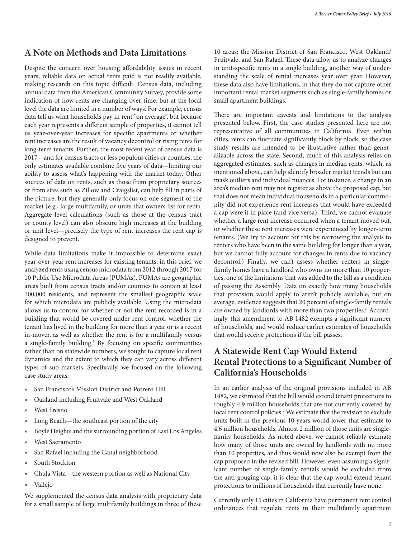#### **A Note on Methods and Data Limitations**

Despite the concern over housing affordability issues in recent years, reliable data on actual rents paid is not readily available, making research on this topic difficult. Census data, including annual data from the American Community Survey, provide some indication of how rents are changing over time, but at the local level the data are limited in a number of ways. For example, census data tell us what households pay in rent "on average", but because each year represents a different sample of properties, it cannot tell us year-over-year increases for specific apartments or whether rent increases are the result of vacancy decontrol or rising rents for long-term tenants. Further, the most recent year of census data is 2017—and for census tracts or less populous cities or counties, the only estimates available combine five years of data—limiting our ability to assess what's happening with the market today. Other sources of data on rents, such as those from proprietary sources or from sites such as Zillow and Craigslist, can help fill in parts of the picture, but they generally only focus on one segment of the market (e.g., large multifamily, or units that owners list for rent). Aggregate level calculations (such as those at the census tract or county level) can also obscure high increases at the building or unit level—precisely the type of rent increases the rent cap is designed to prevent.

While data limitations make it impossible to determine exact year-over-year rent increases for existing tenants, in this brief, we analyzed rents using census microdata from 2012 through 2017 for 10 Public Use Microdata Areas (PUMAs). PUMAs are geographic areas built from census tracts and/or counties to contain at least 100,000 residents, and represent the smallest geographic scale for which microdata are publicly available. Using the microdata allows us to control for whether or not the rent recorded is in a building that would be covered under rent control, whether the tenant has lived in the building for more than a year or is a recent in-mover, as well as whether the rent is for a multifamily versus a single-family building.<sup>5</sup> By focusing on specific communities rather than on statewide numbers, we sought to capture local rent dynamics and the extent to which they can vary across different types of sub-markets. Specifically, we focused on the following case study areas:

- San Francisco's Mission District and Potrero Hill
- » Oakland including Fruitvale and West Oakland
- West Fresno
- » Long Beach—the southeast portion of the city
- » Boyle Heights and the surrounding portion of East Los Angeles
- » West Sacramento
- » San Rafael including the Canal neighborhood
- » South Stockton
- » Chula Vista—the western portion as well as National City
- » Vallejo

We supplemented the census data analysis with proprietary data for a small sample of large multifamily buildings in three of these

10 areas: the Mission District of San Francisco, West Oakland/ Fruitvale, and San Rafael. These data allow us to analyze changes in unit-specific rents in a single building, another way of understanding the scale of rental increases year over year. However, these data also have limitations, in that they do not capture other important rental market segments such as single-family homes or small apartment buildings.

There are important caveats and limitations to the analysis presented below. First, the case studies presented here are not representative of all communities in California. Even within cities, rents can fluctuate significantly block by block, so the case study results are intended to be illustrative rather than generalizable across the state. Second, much of this analysis relies on aggregated estimates, such as changes in median rents, which, as mentioned above, can help identify broader market trends but can mask outliers and individual nuances. For instance, a change in an area's median rent may not register as above the proposed cap, but that does not mean individual households in a particular community did not experience rent increases that would have exceeded a cap were it in place (and vice versa). Third, we cannot evaluate whether a large rent increase occurred when a tenant moved out, or whether these rent increases were experienced by longer-term tenants. (We try to account for this by narrowing the analysis to renters who have been in the same building for longer than a year, but we cannot fully account for changes in rents due to vacancy decontrol.) Finally, we can't assess whether renters in singlefamily homes have a landlord who owns no more than 10 properties, one of the limitations that was added to the bill as a condition of passing the Assembly. Data on exactly how many households that provision would apply to aren't publicly available, but on average, evidence suggests that 20 percent of single-family rentals are owned by landlords with more than two properties.<sup>6</sup> Accordingly, this amendment to AB 1482 exempts a significant number of households, and would reduce earlier estimates of households that would receive protections if the bill passes.

## **A Statewide Rent Cap Would Extend Rental Protections to a Significant Number of California's Households**

In an earlier analysis of the original provisions included in AB 1482, we estimated that the bill would extend tenant protections to roughly 4.9 million households that are not currently covered by local rent control policies.7 We estimate that the revision to exclude units built in the previous 10 years would lower that estimate to 4.6 million households. Almost 2 million of those units are singlefamily households. As noted above, we cannot reliably estimate how many of those units are owned by landlords with no more than 10 properties, and thus would now also be exempt from the cap proposed in the revised bill. However, even assuming a significant number of single-family rentals would be excluded from the anti-gouging cap, it is clear that the cap would extend tenant protections to millions of households that currently have none.

Currently only 15 cities in California have permanent rent control ordinances that regulate rents in their multifamily apartment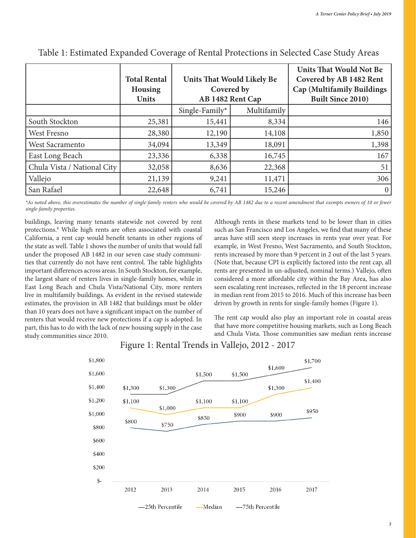|                             | <b>Total Rental</b><br><b>Housing</b><br><b>Units</b> | <b>Units That Would Likely Be</b><br>Covered by<br>AB 1482 Rent Cap |             | <b>Units That Would Not Be</b><br>Covered by AB 1482 Rent<br>Cap (Multifamily Buildings<br><b>Built Since 2010)</b> |
|-----------------------------|-------------------------------------------------------|---------------------------------------------------------------------|-------------|---------------------------------------------------------------------------------------------------------------------|
|                             |                                                       | Single-Family*                                                      | Multifamily |                                                                                                                     |
| South Stockton              | 25,381                                                | 15,441                                                              | 8,334       | 146                                                                                                                 |
| West Fresno                 | 28,380                                                | 12,190                                                              | 14,108      | 1,850                                                                                                               |
| West Sacramento             | 34,094                                                | 13,349                                                              | 18,091      | 1,398                                                                                                               |
| East Long Beach             | 23,336                                                | 6,338                                                               | 16,745      | 167                                                                                                                 |
| Chula Vista / National City | 32,058                                                | 8,636                                                               | 22,368      | 51                                                                                                                  |
| Vallejo                     | 21,139                                                | 9,241                                                               | 11,471      | 306                                                                                                                 |
| San Rafael                  | 22,648                                                | 6,741                                                               | 15,246      | $\overline{0}$                                                                                                      |

#### Table 1: Estimated Expanded Coverage of Rental Protections in Selected Case Study Areas

*\*As noted above, this overestimates the number of single-family renters who would be covered by AB 1482 due to a recent amendment that exempts owners of 10 or fewer single-family properties.*

buildings, leaving many tenants statewide not covered by rent protections.8 While high rents are often associated with coastal California, a rent cap would benefit tenants in other regions of the state as well. Table 1 shows the number of units that would fall under the proposed AB 1482 in our seven case study communities that currently do not have rent control. The table highlights important differences across areas. In South Stockton, for example, the largest share of renters lives in single-family homes, while in East Long Beach and Chula Vista/National City, more renters live in multifamily buildings. As evident in the revised statewide estimates, the provision in AB 1482 that buildings must be older than 10 years does not have a significant impact on the number of renters that would receive new protections if a cap is adopted. In part, this has to do with the lack of new housing supply in the case study communities since 2010.

Although rents in these markets tend to be lower than in cities such as San Francisco and Los Angeles, we find that many of these areas have still seen steep increases in rents year over year. For example, in West Fresno, West Sacramento, and South Stockton, rents increased by more than 9 percent in 2 out of the last 5 years. (Note that, because CPI is explicitly factored into the rent cap, all rents are presented in un-adjusted, nominal terms.) Vallejo, often considered a more affordable city within the Bay Area, has also seen escalating rent increases, reflected in the 18 percent increase in median rent from 2015 to 2016. Much of this increase has been driven by growth in rents for single-family homes (Figure 1).

The rent cap would also play an important role in coastal areas that have more competitive housing markets, such as Long Beach and Chula Vista. Those communities saw median rents increase



#### Figure 1: Rental Trends in Vallejo, 2012 - 2017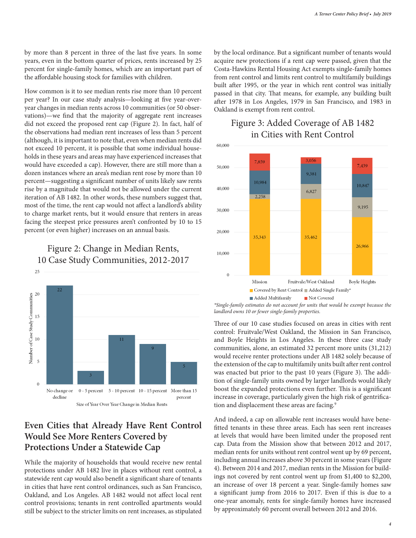by more than 8 percent in three of the last five years. In some years, even in the bottom quarter of prices, rents increased by 25 percent for single-family homes, which are an important part of the affordable housing stock for families with children.

How common is it to see median rents rise more than 10 percent per year? In our case study analysis—looking at five year-overyear changes in median rents across 10 communities (or 50 observations)—we find that the majority of aggregate rent increases did not exceed the proposed rent cap (Figure 2). In fact, half of the observations had median rent increases of less than 5 percent (although, it is important to note that, even when median rents did not exceed 10 percent, it is possible that some individual households in these years and areas may have experienced increases that would have exceeded a cap). However, there are still more than a dozen instances where an area's median rent rose by more than 10 percent—suggesting a significant number of units likely saw rents rise by a magnitude that would not be allowed under the current iteration of AB 1482. In other words, these numbers suggest that, most of the time, the rent cap would not affect a landlord's ability to charge market rents, but it would ensure that renters in areas facing the steepest price pressures aren't confronted by 10 to 15 percent (or even higher) increases on an annual basis.

#### Figure 2: Change in Median Rents, 10 Case Study Communities, 2012-2017



#### **Even Cities that Already Have Rent Control Would See More Renters Covered by Protections Under a Statewide Cap**

While the majority of households that would receive new rental protections under AB 1482 live in places without rent control, a statewide rent cap would also benefit a significant share of tenants in cities that have rent control ordinances, such as San Francisco, Oakland, and Los Angeles. AB 1482 would not affect local rent control provisions; tenants in rent controlled apartments would still be subject to the stricter limits on rent increases, as stipulated

by the local ordinance. But a significant number of tenants would acquire new protections if a rent cap were passed, given that the Costa-Hawkins Rental Housing Act exempts single-family homes from rent control and limits rent control to multifamily buildings built after 1995, or the year in which rent control was initially passed in that city. That means, for example, any building built after 1978 in Los Angeles, 1979 in San Francisco, and 1983 in Oakland is exempt from rent control.

## Figure 3: Added Coverage of AB 1482 in Cities with Rent Control



*\*Single-family estimates do not account for units that would be exempt because the landlord owns 10 or fewer single-family properties.*

Three of our 10 case studies focused on areas in cities with rent control: Fruitvale/West Oakland, the Mission in San Francisco, and Boyle Heights in Los Angeles. In these three case study communities, alone, an estimated 32 percent more units (31,212) would receive renter protections under AB 1482 solely because of the extension of the cap to multifamily units built after rent control was enacted but prior to the past 10 years (Figure 3). The addition of single-family units owned by larger landlords would likely boost the expanded protections even further. This is a significant increase in coverage, particularly given the high risk of gentrification and displacement these areas are facing.<sup>9</sup>

And indeed, a cap on allowable rent increases would have benefitted tenants in these three areas. Each has seen rent increases at levels that would have been limited under the proposed rent cap. Data from the Mission show that between 2012 and 2017, median rents for units without rent control went up by 69 percent, including annual increases above 30 percent in some years (Figure 4). Between 2014 and 2017, median rents in the Mission for buildings not covered by rent control went up from \$1,400 to \$2,200, an increase of over 18 percent a year. Single-family homes saw a significant jump from 2016 to 2017. Even if this is due to a one-year anomaly, rents for single-family homes have increased by approximately 60 percent overall between 2012 and 2016.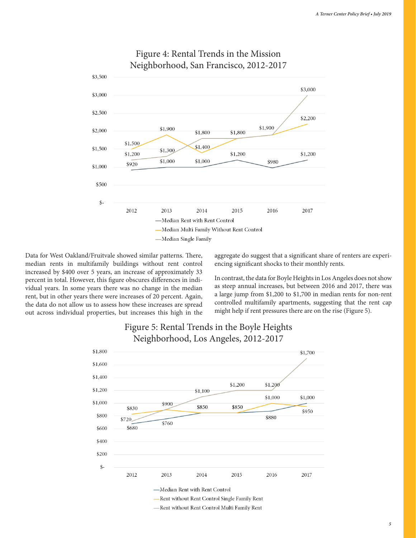

#### Figure 4: Rental Trends in the Mission Neighborhood, San Francisco, 2012-2017

Data for West Oakland/Fruitvale showed similar patterns. There, median rents in multifamily buildings without rent control increased by \$400 over 5 years, an increase of approximately 33 percent in total. However, this figure obscures differences in individual years. In some years there was no change in the median rent, but in other years there were increases of 20 percent. Again, the data do not allow us to assess how these increases are spread out across individual properties, but increases this high in the aggregate do suggest that a significant share of renters are experiencing significant shocks to their monthly rents.

In contrast, the data for Boyle Heights in Los Angeles does not show as steep annual increases, but between 2016 and 2017, there was a large jump from \$1,200 to \$1,700 in median rents for non-rent controlled multifamily apartments, suggesting that the rent cap might help if rent pressures there are on the rise (Figure 5).



#### Figure 5: Rental Trends in the Boyle Heights Neighborhood, Los Angeles, 2012-2017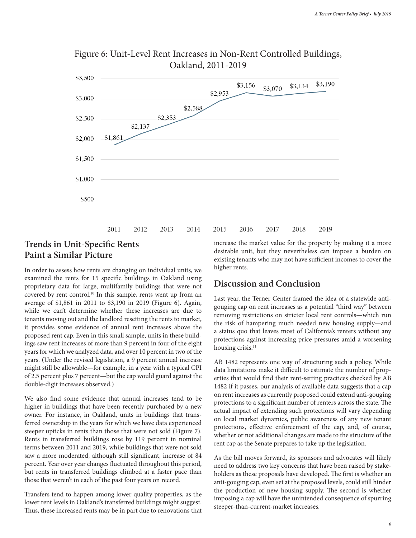

## Figure 6: Unit-Level Rent Increases in Non-Rent Controlled Buildings, Oakland, 2011-2019

## **Trends in Unit-Specific Rents Paint a Similar Picture**

In order to assess how rents are changing on individual units, we examined the rents for 15 specific buildings in Oakland using proprietary data for large, multifamily buildings that were not covered by rent control.<sup>10</sup> In this sample, rents went up from an average of \$1,861 in 2011 to \$3,190 in 2019 (Figure 6). Again, while we can't determine whether these increases are due to tenants moving out and the landlord resetting the rents to market, it provides some evidence of annual rent increases above the proposed rent cap. Even in this small sample, units in these buildings saw rent increases of more than 9 percent in four of the eight years for which we analyzed data, and over 10 percent in two of the years. (Under the revised legislation, a 9 percent annual increase might still be allowable—for example, in a year with a typical CPI of 2.5 percent plus 7 percent—but the cap would guard against the double-digit increases observed.)

We also find some evidence that annual increases tend to be higher in buildings that have been recently purchased by a new owner. For instance, in Oakland, units in buildings that transferred ownership in the years for which we have data experienced steeper upticks in rents than those that were not sold (Figure 7). Rents in transferred buildings rose by 119 percent in nominal terms between 2011 and 2019, while buildings that were not sold saw a more moderated, although still significant, increase of 84 percent. Year over year changes fluctuated throughout this period, but rents in transferred buildings climbed at a faster pace than those that weren't in each of the past four years on record.

Transfers tend to happen among lower quality properties, as the lower rent levels in Oakland's transferred buildings might suggest. Thus, these increased rents may be in part due to renovations that increase the market value for the property by making it a more desirable unit, but they nevertheless can impose a burden on existing tenants who may not have sufficient incomes to cover the higher rents.

#### **Discussion and Conclusion**

Last year, the Terner Center framed the idea of a statewide antigouging cap on rent increases as a potential "third way" between removing restrictions on stricter local rent controls—which run the risk of hampering much needed new housing supply—and a status quo that leaves most of California's renters without any protections against increasing price pressures amid a worsening housing crisis.<sup>11</sup>

AB 1482 represents one way of structuring such a policy. While data limitations make it difficult to estimate the number of properties that would find their rent-setting practices checked by AB 1482 if it passes, our analysis of available data suggests that a cap on rent increases as currently proposed could extend anti-gouging protections to a significant number of renters across the state. The actual impact of extending such protections will vary depending on local market dynamics, public awareness of any new tenant protections, effective enforcement of the cap, and, of course, whether or not additional changes are made to the structure of the rent cap as the Senate prepares to take up the legislation.

As the bill moves forward, its sponsors and advocates will likely need to address two key concerns that have been raised by stakeholders as these proposals have developed. The first is whether an anti-gouging cap, even set at the proposed levels, could still hinder the production of new housing supply. The second is whether imposing a cap will have the unintended consequence of spurring steeper-than-current-market increases.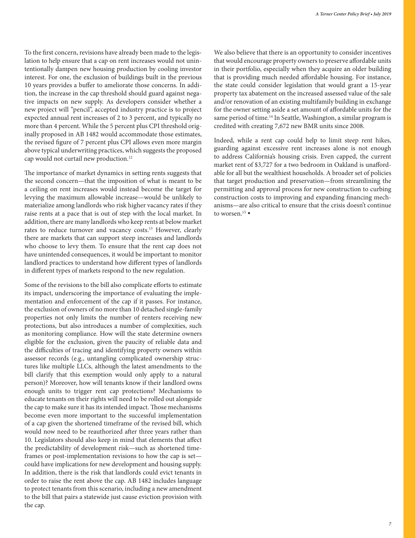To the first concern, revisions have already been made to the legislation to help ensure that a cap on rent increases would not unintentionally dampen new housing production by cooling investor interest. For one, the exclusion of buildings built in the previous 10 years provides a buffer to ameliorate those concerns. In addition, the increase in the cap threshold should guard against negative impacts on new supply. As developers consider whether a new project will "pencil", accepted industry practice is to project expected annual rent increases of 2 to 3 percent, and typically no more than 4 percent. While the 5 percent plus CPI threshold originally proposed in AB 1482 would accommodate those estimates, the revised figure of 7 percent plus CPI allows even more margin above typical underwriting practices, which suggests the proposed cap would not curtail new production.<sup>12</sup>

The importance of market dynamics in setting rents suggests that the second concern—that the imposition of what is meant to be a ceiling on rent increases would instead become the target for levying the maximum allowable increase—would be unlikely to materialize among landlords who risk higher vacancy rates if they raise rents at a pace that is out of step with the local market. In addition, there are many landlords who keep rents at below market rates to reduce turnover and vacancy costs.<sup>13</sup> However, clearly there are markets that can support steep increases and landlords who choose to levy them. To ensure that the rent cap does not have unintended consequences, it would be important to monitor landlord practices to understand how different types of landlords in different types of markets respond to the new regulation.

Some of the revisions to the bill also complicate efforts to estimate its impact, underscoring the importance of evaluating the implementation and enforcement of the cap if it passes. For instance, the exclusion of owners of no more than 10 detached single-family properties not only limits the number of renters receiving new protections, but also introduces a number of complexities, such as monitoring compliance. How will the state determine owners eligible for the exclusion, given the paucity of reliable data and the difficulties of tracing and identifying property owners within assessor records (e.g., untangling complicated ownership structures like multiple LLCs, although the latest amendments to the bill clarify that this exemption would only apply to a natural person)? Moreover, how will tenants know if their landlord owns enough units to trigger rent cap protections? Mechanisms to educate tenants on their rights will need to be rolled out alongside the cap to make sure it has its intended impact. Those mechanisms become even more important to the successful implementation of a cap given the shortened timeframe of the revised bill, which would now need to be reauthorized after three years rather than 10. Legislators should also keep in mind that elements that affect the predictability of development risk—such as shortened timeframes or post-implementation revisions to how the cap is set could have implications for new development and housing supply. In addition, there is the risk that landlords could evict tenants in order to raise the rent above the cap. AB 1482 includes language to protect tenants from this scenario, including a new amendment to the bill that pairs a statewide just cause eviction provision with the cap.

We also believe that there is an opportunity to consider incentives that would encourage property owners to preserve affordable units in their portfolio, especially when they acquire an older building that is providing much needed affordable housing. For instance, the state could consider legislation that would grant a 15-year property tax abatement on the increased assessed value of the sale and/or renovation of an existing multifamily building in exchange for the owner setting aside a set amount of affordable units for the same period of time.<sup>14</sup> In Seattle, Washington, a similar program is credited with creating 7,672 new BMR units since 2008.

Indeed, while a rent cap could help to limit steep rent hikes, guarding against excessive rent increases alone is not enough to address California's housing crisis. Even capped, the current market rent of \$3,727 for a two bedroom in Oakland is unaffordable for all but the wealthiest households. A broader set of policies that target production and preservation—from streamlining the permitting and approval process for new construction to curbing construction costs to improving and expanding financing mechanisms—are also critical to ensure that the crisis doesn't continue to worsen.<sup>15</sup> •